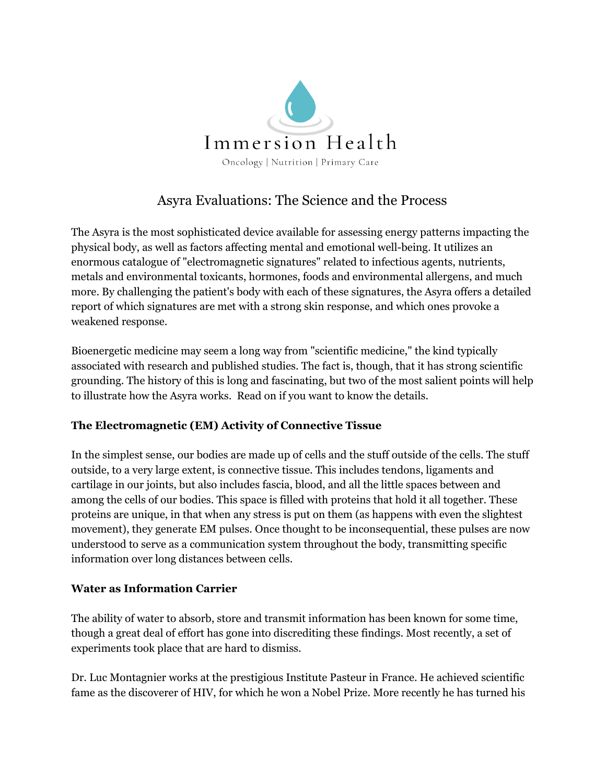

## Asyra Evaluations: The Science and the Process

The Asyra is the most sophisticated device available for assessing energy patterns impacting the physical body, as well as factors affecting mental and emotional well-being. It utilizes an enormous catalogue of "electromagnetic signatures" related to infectious agents, nutrients, metals and environmental toxicants, hormones, foods and environmental allergens, and much more. By challenging the patient's body with each of these signatures, the Asyra offers a detailed report of which signatures are met with a strong skin response, and which ones provoke a weakened response.

Bioenergetic medicine may seem a long way from "scientific medicine," the kind typically associated with research and published studies. The fact is, though, that it has strong scientific grounding. The history of this is long and fascinating, but two of the most salient points will help to illustrate how the Asyra works. Read on if you want to know the details.

## **The Electromagnetic (EM) Activity of Connective Tissue**

In the simplest sense, our bodies are made up of cells and the stuff outside of the cells. The stuff outside, to a very large extent, is connective tissue. This includes tendons, ligaments and cartilage in our joints, but also includes fascia, blood, and all the little spaces between and among the cells of our bodies. This space is filled with proteins that hold it all together. These proteins are unique, in that when any stress is put on them (as happens with even the slightest movement), they generate EM pulses. Once thought to be inconsequential, these pulses are now understood to serve as a communication system throughout the body, transmitting specific information over long distances between cells.

## **Water as Information Carrier**

The ability of water to absorb, store and transmit information has been known for some time, though a great deal of effort has gone into discrediting these findings. Most recently, a set of experiments took place that are hard to dismiss.

Dr. Luc Montagnier works at the prestigious Institute Pasteur in France. He achieved scientific fame as the discoverer of HIV, for which he won a Nobel Prize. More recently he has turned his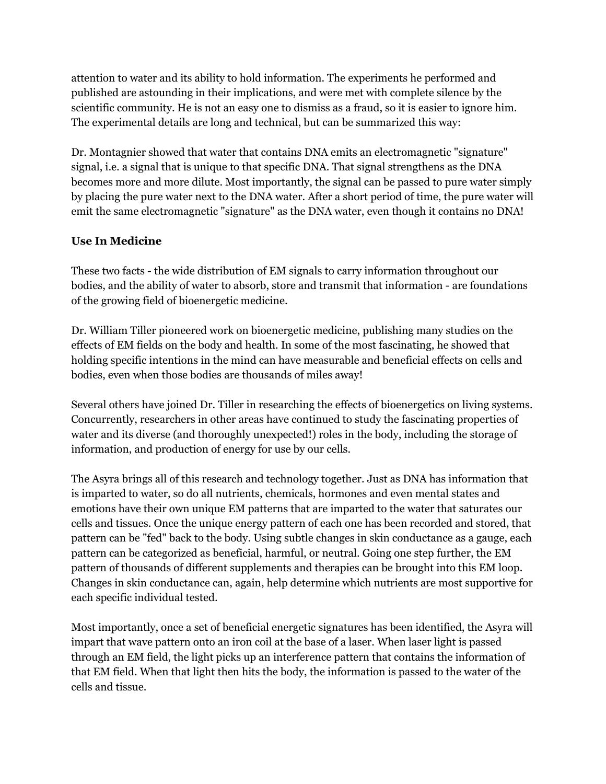attention to water and its ability to hold information. The experiments he performed and published are astounding in their implications, and were met with complete silence by the scientific community. He is not an easy one to dismiss as a fraud, so it is easier to ignore him. The experimental details are long and technical, but can be summarized this way:

Dr. Montagnier showed that water that contains DNA emits an electromagnetic "signature" signal, i.e. a signal that is unique to that specific DNA. That signal strengthens as the DNA becomes more and more dilute. Most importantly, the signal can be passed to pure water simply by placing the pure water next to the DNA water. After a short period of time, the pure water will emit the same electromagnetic "signature" as the DNA water, even though it contains no DNA!

## **Use In Medicine**

These two facts - the wide distribution of EM signals to carry information throughout our bodies, and the ability of water to absorb, store and transmit that information - are foundations of the growing field of bioenergetic medicine.

Dr. William Tiller pioneered work on bioenergetic medicine, publishing many studies on the effects of EM fields on the body and health. In some of the most fascinating, he showed that holding specific intentions in the mind can have measurable and beneficial effects on cells and bodies, even when those bodies are thousands of miles away!

Several others have joined Dr. Tiller in researching the effects of bioenergetics on living systems. Concurrently, researchers in other areas have continued to study the fascinating properties of water and its diverse (and thoroughly unexpected!) roles in the body, including the storage of information, and production of energy for use by our cells.

The Asyra brings all of this research and technology together. Just as DNA has information that is imparted to water, so do all nutrients, chemicals, hormones and even mental states and emotions have their own unique EM patterns that are imparted to the water that saturates our cells and tissues. Once the unique energy pattern of each one has been recorded and stored, that pattern can be "fed" back to the body. Using subtle changes in skin conductance as a gauge, each pattern can be categorized as beneficial, harmful, or neutral. Going one step further, the EM pattern of thousands of different supplements and therapies can be brought into this EM loop. Changes in skin conductance can, again, help determine which nutrients are most supportive for each specific individual tested.

Most importantly, once a set of beneficial energetic signatures has been identified, the Asyra will impart that wave pattern onto an iron coil at the base of a laser. When laser light is passed through an EM field, the light picks up an interference pattern that contains the information of that EM field. When that light then hits the body, the information is passed to the water of the cells and tissue.